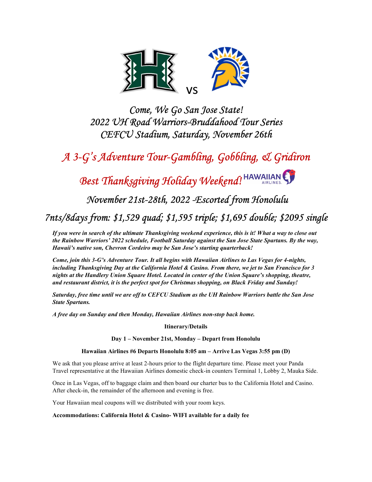

Come, We Go San Jose State! 2022 UH Road Warriors-Bruddahood Tour Series CEFCU Stadium, Saturday, November 26th

A 3-G's Adventure Tour-Gambling, Gobbling, & Gridiron

Best Thanksgiving Holiday Weekend! HAWAIIAN

November 21st-28th, 2022 -Escorted from Honolulu

7nts/8days from: \$1,529 quad; \$1,595 triple; \$1,695 double; \$2095 single

If you were in search of the ultimate Thanksgiving weekend experience, this is it! What a way to close out the Rainbow Warriors' 2022 schedule, Football Saturday against the San Jose State Spartans. By the way, Hawaii's native son, Chevron Cordeiro may be San Jose's starting quarterback!

Come, join this 3-G's Adventure Tour. It all begins with Hawaiian Airlines to Las Vegas for 4-nights, including Thanksgiving Day at the California Hotel & Casino. From there, we jet to San Francisco for 3 nights at the Handlery Union Square Hotel. Located in center of the Union Square's shopping, theatre, and restaurant district, it is the perfect spot for Christmas shopping, on Black Friday and Sunday!

Saturday, free time until we are off to CEFCU Stadium as the UH Rainbow Warriors battle the San Jose State Spartans.

A free day on Sunday and then Monday, Hawaiian Airlines non-stop back home.

Itinerary/Details

Day 1 – November 21st, Monday – Depart from Honolulu

#### Hawaiian Airlines #6 Departs Honolulu 8:05 am – Arrive Las Vegas 3:55 pm (D)

We ask that you please arrive at least 2-hours prior to the flight departure time. Please meet your Panda Travel representative at the Hawaiian Airlines domestic check-in counters Terminal 1, Lobby 2, Mauka Side.

Once in Las Vegas, off to baggage claim and then board our charter bus to the California Hotel and Casino. After check-in, the remainder of the afternoon and evening is free.

Your Hawaiian meal coupons will we distributed with your room keys.

Accommodations: California Hotel & Casino- WIFI available for a daily fee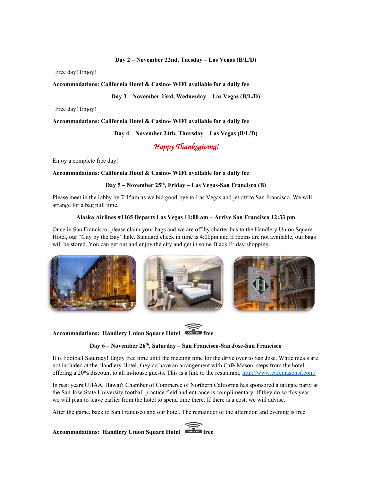#### Day 2 – November 22nd, Tuesday – Las Vegas (B/L/D)

Free day! Enjoy!

#### Accommodations: California Hotel & Casino- WIFI available for a daily fee

Day 3 – November 23rd, Wednesday – Las Vegas (B/L/D)

Free day! Enjoy!

Accommodations: California Hotel & Casino- WIFI available for a daily fee

#### Day 4 – November 24th, Thursday – Las Vegas (B/L/D)

### Happy Thanksgiving!

Enjoy a complete free day!

Accommodations: California Hotel & Casino- WIFI available for a daily fee

#### Day 5 – November 25<sup>th</sup>, Friday – Las Vegas-San Francisco (B)

Please meet in the lobby by 7:45am as we bid good-bye to Las Vegas and jet off to San Francisco. We will arrange for a bag pull time.

#### Alaska Airlines #1165 Departs Las Vegas 11:00 am – Arrive San Francisco 12:33 pm

Once in San Francisco, please claim your bags and we are off by charter bus to the Handlery Union Square Hotel, our "City by the Bay" hale. Standard check in time is 4:00pm and if rooms are not available, our bags will be stored. You can get out and enjoy the city and get in some Black Friday shopping.



# Accommodations: Handlery Union Square Hotel



#### Day 6 – November 26<sup>th</sup>, Saturday – San Francisco-San Jose-San Francisco

It is Football Saturday! Enjoy free time until the meeting time for the drive over to San Jose. While meals are not included at the Handlery Hotel, they do have an arrangement with Café Mason, steps from the hotel, offering a 20% discount to all in-house guests. This is a link to the restaurant, http://www.cafemasonsf.com/

In past years UHAA, Hawai'i Chamber of Commerce of Northern California has sponsored a tailgate party at the San Jose State University football practice field and entrance is complimentary. If they do so this year, we will plan to leave earlier from the hotel to spend time there. If there is a cost, we will advise.

After the game, back to San Francisco and our hotel. The remainder of the afternoon and evening is free.

## Accommodations: Handlery Union Square Hotel